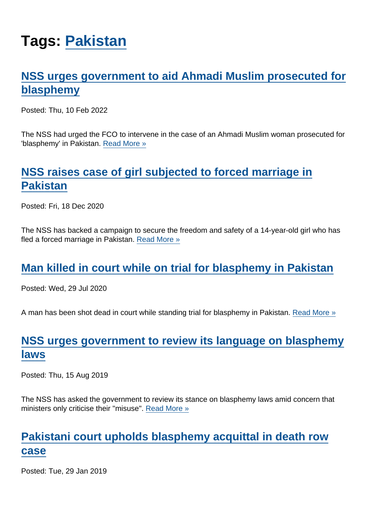# Tags: [Pakistan](https://www.secularism.org.uk/news/tags/Pakistan)

# [NSS urges government to aid Ahmadi Muslim prosecuted for](https://www.secularism.org.uk/news/2022/02/nss-urges-government-to-aid-ahmadi-muslim-convicted-of-blasphemy) [blasphemy](https://www.secularism.org.uk/news/2022/02/nss-urges-government-to-aid-ahmadi-muslim-convicted-of-blasphemy)

Posted: Thu, 10 Feb 2022

The NSS had urged the FCO to intervene in the case of an Ahmadi Muslim woman prosecuted for 'blasphemy' in Pakistan. [Read More »](https://www.secularism.org.uk/news/2022/02/nss-urges-government-to-aid-ahmadi-muslim-convicted-of-blasphemy)

# [NSS raises case of girl subjected to forced marriage in](https://www.secularism.org.uk/news/2020/12/nss-raises-case-of-girl-subjected-to-forced-marriage-in-pakistan) **[Pakistan](https://www.secularism.org.uk/news/2020/12/nss-raises-case-of-girl-subjected-to-forced-marriage-in-pakistan)**

Posted: Fri, 18 Dec 2020

The NSS has backed a campaign to secure the freedom and safety of a 14-year-old girl who has fled a forced marriage in Pakistan. [Read More »](https://www.secularism.org.uk/news/2020/12/nss-raises-case-of-girl-subjected-to-forced-marriage-in-pakistan)

## [Man killed in court while on trial for blasphemy in Pakistan](https://www.secularism.org.uk/news/2020/07/man-killed-in-court-while-on-trial-for-blasphemy-in-pakistan)

Posted: Wed, 29 Jul 2020

A man has been shot dead in court while standing trial for blasphemy in Pakistan. [Read More »](https://www.secularism.org.uk/news/2020/07/man-killed-in-court-while-on-trial-for-blasphemy-in-pakistan)

# [NSS urges government to review its language on blasphemy](https://www.secularism.org.uk/news/2019/08/nss-urges-government-to-review-its-language-on-blasphemy-laws) [laws](https://www.secularism.org.uk/news/2019/08/nss-urges-government-to-review-its-language-on-blasphemy-laws)

Posted: Thu, 15 Aug 2019

The NSS has asked the government to review its stance on blasphemy laws amid concern that ministers only criticise their "misuse". [Read More »](https://www.secularism.org.uk/news/2019/08/nss-urges-government-to-review-its-language-on-blasphemy-laws)

#### [Pakistani court upholds blasphemy acquittal in death row](https://www.secularism.org.uk/news/2019/01/pakistani-court-upholds-blasphemy-acquittal-in-death-row-case) [case](https://www.secularism.org.uk/news/2019/01/pakistani-court-upholds-blasphemy-acquittal-in-death-row-case)

Posted: Tue, 29 Jan 2019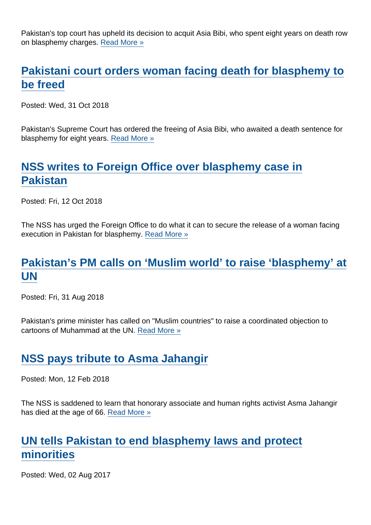Pakistan's top court has upheld its decision to acquit Asia Bibi, who spent eight years on death row on blasphemy charges. [Read More »](https://www.secularism.org.uk/news/2019/01/pakistani-court-upholds-blasphemy-acquittal-in-death-row-case)

## [Pakistani court orders woman facing death for blasphemy to](https://www.secularism.org.uk/news/2018/10/pakistani-court-orders-woman-facing-death-for-blasphemy-to-be-freed) [be freed](https://www.secularism.org.uk/news/2018/10/pakistani-court-orders-woman-facing-death-for-blasphemy-to-be-freed)

Posted: Wed, 31 Oct 2018

Pakistan's Supreme Court has ordered the freeing of Asia Bibi, who awaited a death sentence for blasphemy for eight years. [Read More »](https://www.secularism.org.uk/news/2018/10/pakistani-court-orders-woman-facing-death-for-blasphemy-to-be-freed)

# [NSS writes to Foreign Office over blasphemy case in](https://www.secularism.org.uk/news/2018/10/nss-writes-to-foreign-office-over-blasphemy-case-in-pakistan) [Pakistan](https://www.secularism.org.uk/news/2018/10/nss-writes-to-foreign-office-over-blasphemy-case-in-pakistan)

Posted: Fri, 12 Oct 2018

The NSS has urged the Foreign Office to do what it can to secure the release of a woman facing execution in Pakistan for blasphemy. [Read More »](https://www.secularism.org.uk/news/2018/10/nss-writes-to-foreign-office-over-blasphemy-case-in-pakistan)

#### [Pakistan's PM calls on 'Muslim world' to raise 'blasphemy' at](https://www.secularism.org.uk/news/2018/08/pakistans-pm-calls-on-muslim-world-to-raise-blasphemy-at-un) [UN](https://www.secularism.org.uk/news/2018/08/pakistans-pm-calls-on-muslim-world-to-raise-blasphemy-at-un)

Posted: Fri, 31 Aug 2018

Pakistan's prime minister has called on "Muslim countries" to raise a coordinated objection to cartoons of Muhammad at the UN. [Read More »](https://www.secularism.org.uk/news/2018/08/pakistans-pm-calls-on-muslim-world-to-raise-blasphemy-at-un)

## [NSS pays tribute to Asma Jahangir](https://www.secularism.org.uk/news/2018/02/nss-pays-tribute-to-asma-jahangir)

Posted: Mon, 12 Feb 2018

The NSS is saddened to learn that honorary associate and human rights activist Asma Jahangir has died at the age of 66. [Read More »](https://www.secularism.org.uk/news/2018/02/nss-pays-tribute-to-asma-jahangir)

## [UN tells Pakistan to end blasphemy laws and protect](https://www.secularism.org.uk/news/2017/08/un-tells-pakistan-to-end-blasphemy-laws-and-protect-minorities) [minorities](https://www.secularism.org.uk/news/2017/08/un-tells-pakistan-to-end-blasphemy-laws-and-protect-minorities)

Posted: Wed, 02 Aug 2017